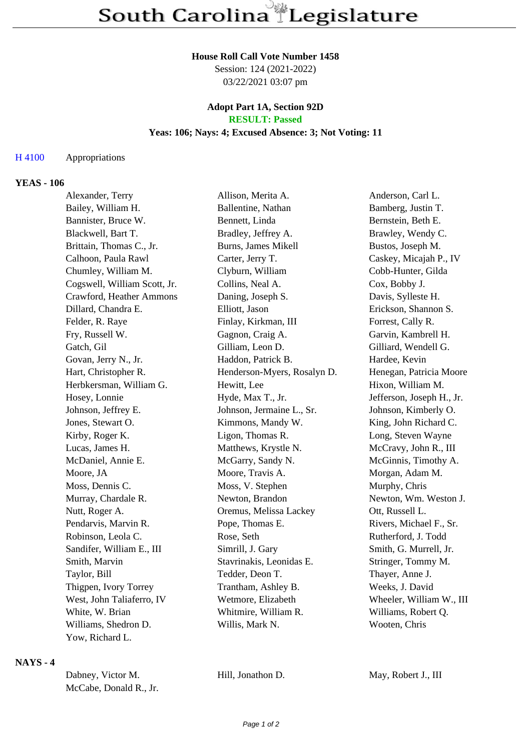#### **House Roll Call Vote Number 1458**

Session: 124 (2021-2022) 03/22/2021 03:07 pm

### **Adopt Part 1A, Section 92D RESULT: Passed**

# **Yeas: 106; Nays: 4; Excused Absence: 3; Not Voting: 11**

#### H 4100 Appropriations

#### **YEAS - 106**

| Alexander, Terry             | Allison, Merita A.          | Anderson, Carl L.         |
|------------------------------|-----------------------------|---------------------------|
| Bailey, William H.           | Ballentine, Nathan          | Bamberg, Justin T.        |
| Bannister, Bruce W.          | Bennett, Linda              | Bernstein, Beth E.        |
| Blackwell, Bart T.           | Bradley, Jeffrey A.         | Brawley, Wendy C.         |
| Brittain, Thomas C., Jr.     | Burns, James Mikell         | Bustos, Joseph M.         |
| Calhoon, Paula Rawl          | Carter, Jerry T.            | Caskey, Micajah P., IV    |
| Chumley, William M.          | Clyburn, William            | Cobb-Hunter, Gilda        |
| Cogswell, William Scott, Jr. | Collins, Neal A.            | Cox, Bobby J.             |
| Crawford, Heather Ammons     | Daning, Joseph S.           | Davis, Sylleste H.        |
| Dillard, Chandra E.          | Elliott, Jason              | Erickson, Shannon S.      |
| Felder, R. Raye              | Finlay, Kirkman, III        | Forrest, Cally R.         |
| Fry, Russell W.              | Gagnon, Craig A.            | Garvin, Kambrell H.       |
| Gatch, Gil                   | Gilliam, Leon D.            | Gilliard, Wendell G.      |
| Govan, Jerry N., Jr.         | Haddon, Patrick B.          | Hardee, Kevin             |
| Hart, Christopher R.         | Henderson-Myers, Rosalyn D. | Henegan, Patricia Moore   |
| Herbkersman, William G.      | Hewitt, Lee                 | Hixon, William M.         |
| Hosey, Lonnie                | Hyde, Max T., Jr.           | Jefferson, Joseph H., Jr. |
| Johnson, Jeffrey E.          | Johnson, Jermaine L., Sr.   | Johnson, Kimberly O.      |
| Jones, Stewart O.            | Kimmons, Mandy W.           | King, John Richard C.     |
| Kirby, Roger K.              | Ligon, Thomas R.            | Long, Steven Wayne        |
| Lucas, James H.              | Matthews, Krystle N.        | McCravy, John R., III     |
| McDaniel, Annie E.           | McGarry, Sandy N.           | McGinnis, Timothy A.      |
| Moore, JA                    | Moore, Travis A.            | Morgan, Adam M.           |
| Moss, Dennis C.              | Moss, V. Stephen            | Murphy, Chris             |
| Murray, Chardale R.          | Newton, Brandon             | Newton, Wm. Weston J.     |
| Nutt, Roger A.               | Oremus, Melissa Lackey      | Ott, Russell L.           |
| Pendarvis, Marvin R.         | Pope, Thomas E.             | Rivers, Michael F., Sr.   |
| Robinson, Leola C.           | Rose, Seth                  | Rutherford, J. Todd       |
| Sandifer, William E., III    | Simrill, J. Gary            | Smith, G. Murrell, Jr.    |
| Smith, Marvin                | Stavrinakis, Leonidas E.    | Stringer, Tommy M.        |
| Taylor, Bill                 | Tedder, Deon T.             | Thayer, Anne J.           |
| Thigpen, Ivory Torrey        | Trantham, Ashley B.         | Weeks, J. David           |
| West, John Taliaferro, IV    | Wetmore, Elizabeth          | Wheeler, William W., III  |
| White, W. Brian              | Whitmire, William R.        | Williams, Robert Q.       |
| Williams, Shedron D.         | Willis, Mark N.             | Wooten, Chris             |
| Yow, Richard L.              |                             |                           |

## **NAYS - 4**

| Dabney, Victor M.      |
|------------------------|
| McCabe, Donald R., Jr. |

Hill, Jonathon D. May, Robert J., III